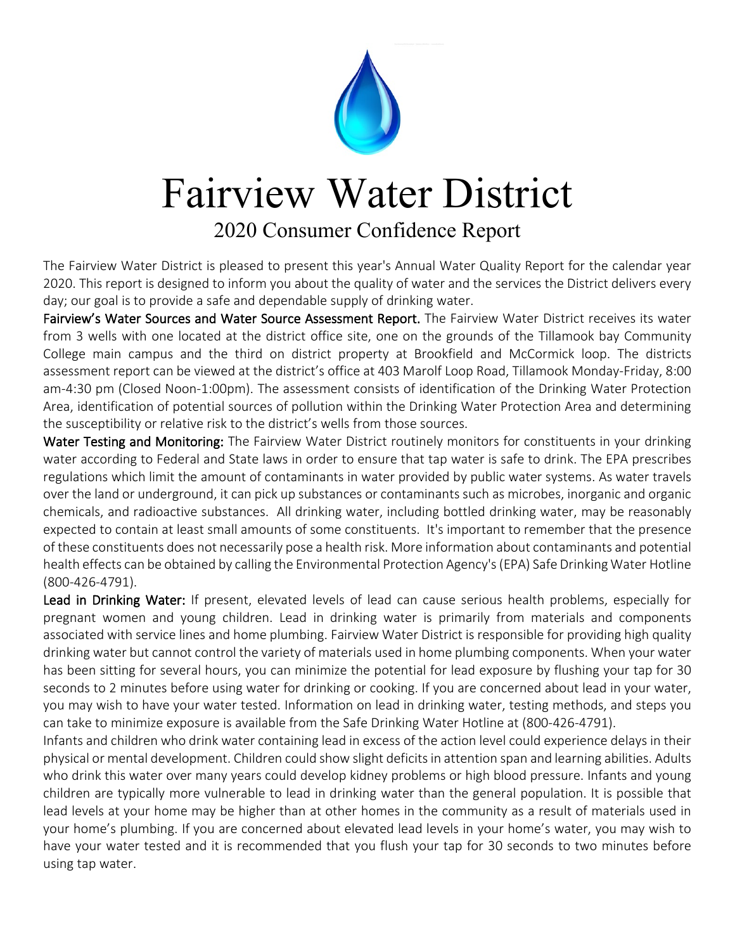

## Fairview Water District

## 2020 Consumer Confidence Report

The Fairview Water District is pleased to present this year's Annual Water Quality Report for the calendar year 2020. This report is designed to inform you about the quality of water and the services the District delivers every day; our goal is to provide a safe and dependable supply of drinking water.

Fairview's Water Sources and Water Source Assessment Report. The Fairview Water District receives its water from 3 wells with one located at the district office site, one on the grounds of the Tillamook bay Community College main campus and the third on district property at Brookfield and McCormick loop. The districts assessment report can be viewed at the district's office at 403 Marolf Loop Road, Tillamook Monday-Friday, 8:00 am-4:30 pm (Closed Noon-1:00pm). The assessment consists of identification of the Drinking Water Protection Area, identification of potential sources of pollution within the Drinking Water Protection Area and determining the susceptibility or relative risk to the district's wells from those sources.

Water Testing and Monitoring: The Fairview Water District routinely monitors for constituents in your drinking water according to Federal and State laws in order to ensure that tap water is safe to drink. The EPA prescribes regulations which limit the amount of contaminants in water provided by public water systems. As water travels over the land or underground, it can pick up substances or contaminants such as microbes, inorganic and organic chemicals, and radioactive substances. All drinking water, including bottled drinking water, may be reasonably expected to contain at least small amounts of some constituents. It's important to remember that the presence of these constituents does not necessarily pose a health risk. More information about contaminants and potential health effects can be obtained by calling the Environmental Protection Agency's (EPA) Safe Drinking Water Hotline (800-426-4791).

Lead in Drinking Water: If present, elevated levels of lead can cause serious health problems, especially for pregnant women and young children. Lead in drinking water is primarily from materials and components associated with service lines and home plumbing. Fairview Water District is responsible for providing high quality drinking water but cannot control the variety of materials used in home plumbing components. When your water has been sitting for several hours, you can minimize the potential for lead exposure by flushing your tap for 30 seconds to 2 minutes before using water for drinking or cooking. If you are concerned about lead in your water, you may wish to have your water tested. Information on lead in drinking water, testing methods, and steps you can take to minimize exposure is available from the Safe Drinking Water Hotline at (800-426-4791).

Infants and children who drink water containing lead in excess of the action level could experience delays in their physical or mental development. Children could show slight deficits in attention span and learning abilities. Adults who drink this water over many years could develop kidney problems or high blood pressure. Infants and young children are typically more vulnerable to lead in drinking water than the general population. It is possible that lead levels at your home may be higher than at other homes in the community as a result of materials used in your home's plumbing. If you are concerned about elevated lead levels in your home's water, you may wish to have your water tested and it is recommended that you flush your tap for 30 seconds to two minutes before using tap water.